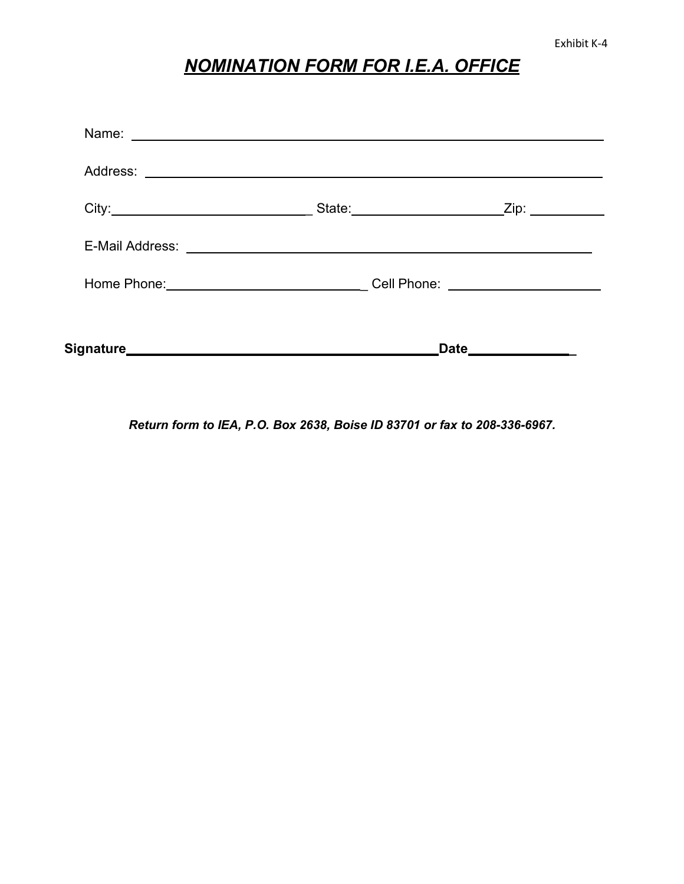## *NOMINATION FORM FOR I.E.A. OFFICE*

| State: _____________________ | _Zip: ___________                                                |
|------------------------------|------------------------------------------------------------------|
|                              |                                                                  |
|                              | Cell Phone: ______________________                               |
|                              | <b>Date</b><br><u> 1989 - Johann Barnett, fransk politiker (</u> |

*Return form to IEA, P.O. Box 2638, Boise ID 83701 or fax to 208-336-6967.*